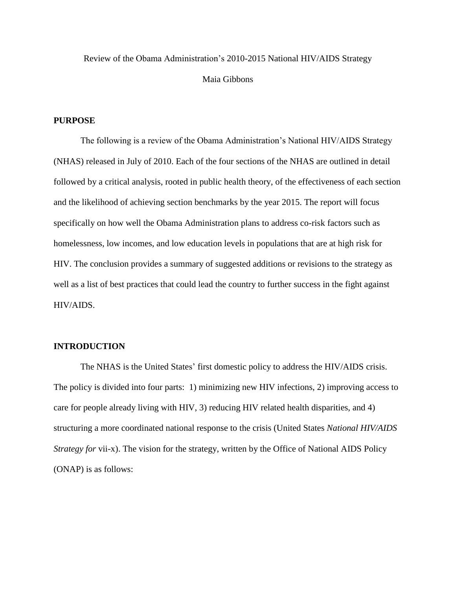# Review of the Obama Administration's 2010-2015 National HIV/AIDS Strategy Maia Gibbons

#### **PURPOSE**

The following is a review of the Obama Administration's National HIV/AIDS Strategy (NHAS) released in July of 2010. Each of the four sections of the NHAS are outlined in detail followed by a critical analysis, rooted in public health theory, of the effectiveness of each section and the likelihood of achieving section benchmarks by the year 2015. The report will focus specifically on how well the Obama Administration plans to address co-risk factors such as homelessness, low incomes, and low education levels in populations that are at high risk for HIV. The conclusion provides a summary of suggested additions or revisions to the strategy as well as a list of best practices that could lead the country to further success in the fight against HIV/AIDS.

#### **INTRODUCTION**

The NHAS is the United States' first domestic policy to address the HIV/AIDS crisis. The policy is divided into four parts: 1) minimizing new HIV infections, 2) improving access to care for people already living with HIV, 3) reducing HIV related health disparities, and 4) structuring a more coordinated national response to the crisis (United States *National HIV/AIDS Strategy for* vii-x). The vision for the strategy, written by the Office of National AIDS Policy (ONAP) is as follows: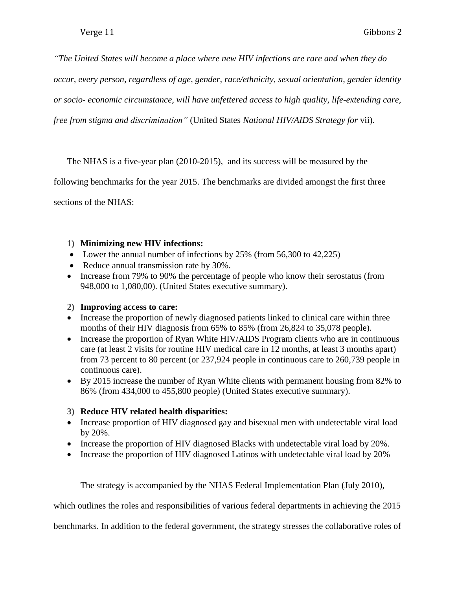*"The United States will become a place where new HIV infections are rare and when they do* 

*occur, every person, regardless of age, gender, race/ethnicity, sexual orientation, gender identity* 

*or socio- economic circumstance, will have unfettered access to high quality, life-extending care,* 

*free from stigma and discrimination"* (United States *National HIV/AIDS Strategy for* vii).

The NHAS is a five-year plan (2010-2015), and its success will be measured by the

following benchmarks for the year 2015. The benchmarks are divided amongst the first three

sections of the NHAS:

## **1) Minimizing new HIV infections:**

- Lower the annual number of infections by 25% (from 56,300 to 42,225)
- Reduce annual transmission rate by 30%.
- Increase from 79% to 90% the percentage of people who know their serostatus (from 948,000 to 1,080,00). (United States executive summary).

## **2) Improving access to care:**

- Increase the proportion of newly diagnosed patients linked to clinical care within three months of their HIV diagnosis from 65% to 85% (from 26,824 to 35,078 people).
- Increase the proportion of Ryan White HIV/AIDS Program clients who are in continuous care (at least 2 visits for routine HIV medical care in 12 months, at least 3 months apart) from 73 percent to 80 percent (or 237,924 people in continuous care to 260,739 people in continuous care).
- By 2015 increase the number of Ryan White clients with permanent housing from 82% to 86% (from 434,000 to 455,800 people) (United States executive summary).

## **3) Reduce HIV related health disparities:**

- Increase proportion of HIV diagnosed gay and bisexual men with undetectable viral load by 20%.
- Increase the proportion of HIV diagnosed Blacks with undetectable viral load by 20%.
- Increase the proportion of HIV diagnosed Latinos with undetectable viral load by 20%

The strategy is accompanied by the NHAS Federal Implementation Plan (July 2010),

which outlines the roles and responsibilities of various federal departments in achieving the 2015

benchmarks. In addition to the federal government, the strategy stresses the collaborative roles of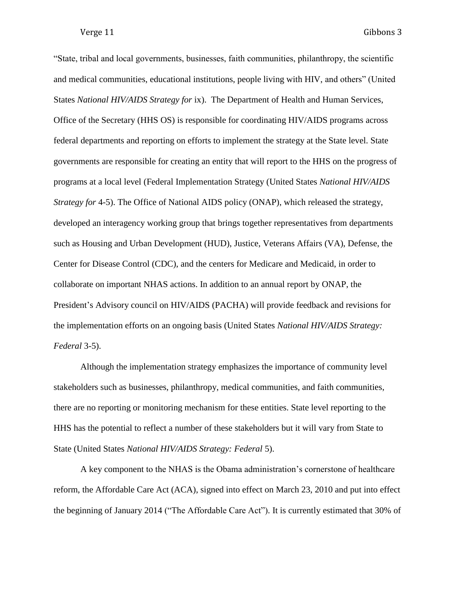"State, tribal and local governments, businesses, faith communities, philanthropy, the scientific and medical communities, educational institutions, people living with HIV, and others" (United States *National HIV/AIDS Strategy for* ix). The Department of Health and Human Services, Office of the Secretary (HHS OS) is responsible for coordinating HIV/AIDS programs across federal departments and reporting on efforts to implement the strategy at the State level. State governments are responsible for creating an entity that will report to the HHS on the progress of programs at a local level (Federal Implementation Strategy (United States *National HIV/AIDS Strategy for* 4-5). The Office of National AIDS policy (ONAP), which released the strategy, developed an interagency working group that brings together representatives from departments such as Housing and Urban Development (HUD), Justice, Veterans Affairs (VA), Defense, the Center for Disease Control (CDC), and the centers for Medicare and Medicaid, in order to collaborate on important NHAS actions. In addition to an annual report by ONAP, the President's Advisory council on HIV/AIDS (PACHA) will provide feedback and revisions for the implementation efforts on an ongoing basis (United States *National HIV/AIDS Strategy: Federal* 3-5).

Although the implementation strategy emphasizes the importance of community level stakeholders such as businesses, philanthropy, medical communities, and faith communities, there are no reporting or monitoring mechanism for these entities. State level reporting to the HHS has the potential to reflect a number of these stakeholders but it will vary from State to State (United States *National HIV/AIDS Strategy: Federal* 5).

A key component to the NHAS is the Obama administration's cornerstone of healthcare reform, the Affordable Care Act (ACA), signed into effect on March 23, 2010 and put into effect the beginning of January 2014 ("The Affordable Care Act"). It is currently estimated that 30% of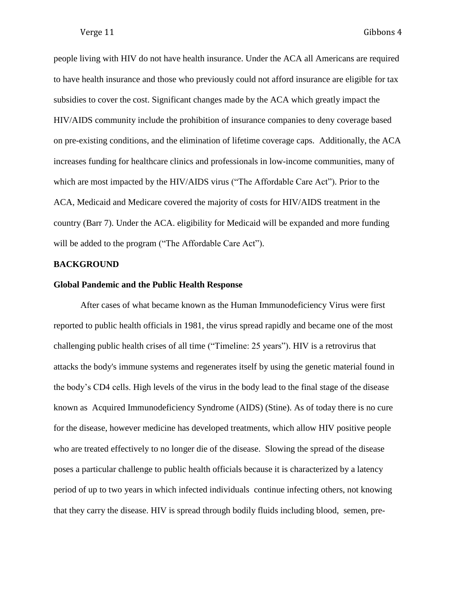people living with HIV do not have health insurance. Under the ACA all Americans are required to have health insurance and those who previously could not afford insurance are eligible for tax subsidies to cover the cost. Significant changes made by the ACA which greatly impact the HIV/AIDS community include the prohibition of insurance companies to deny coverage based on pre-existing conditions, and the elimination of lifetime coverage caps. Additionally, the ACA increases funding for healthcare clinics and professionals in low-income communities, many of which are most impacted by the HIV/AIDS virus ("The Affordable Care Act"). Prior to the ACA, Medicaid and Medicare covered the majority of costs for HIV/AIDS treatment in the country (Barr 7). Under the ACA. eligibility for Medicaid will be expanded and more funding will be added to the program ("The Affordable Care Act").

#### **BACKGROUND**

#### **Global Pandemic and the Public Health Response**

After cases of what became known as the Human Immunodeficiency Virus were first reported to public health officials in 1981, the virus spread rapidly and became one of the most challenging public health crises of all time ("Timeline: 25 years"). HIV is a retrovirus that attacks the body's immune systems and regenerates itself by using the genetic material found in the body's CD4 cells. High levels of the virus in the body lead to the final stage of the disease known as Acquired Immunodeficiency Syndrome (AIDS) (Stine). As of today there is no cure for the disease, however medicine has developed treatments, which allow HIV positive people who are treated effectively to no longer die of the disease. Slowing the spread of the disease poses a particular challenge to public health officials because it is characterized by a latency period of up to two years in which infected individuals continue infecting others, not knowing that they carry the disease. HIV is spread through bodily fluids including blood, semen, pre-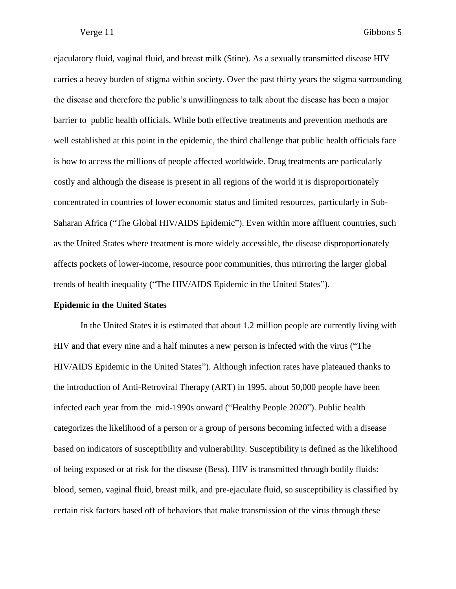ejaculatory fluid, vaginal fluid, and breast milk (Stine). As a sexually transmitted disease HIV carries a heavy burden of stigma within society. Over the past thirty years the stigma surrounding the disease and therefore the public's unwillingness to talk about the disease has been a major barrier to public health officials. While both effective treatments and prevention methods are well established at this point in the epidemic, the third challenge that public health officials face is how to access the millions of people affected worldwide. Drug treatments are particularly costly and although the disease is present in all regions of the world it is disproportionately concentrated in countries of lower economic status and limited resources, particularly in Sub-Saharan Africa ("The Global HIV/AIDS Epidemic"). Even within more affluent countries, such as the United States where treatment is more widely accessible, the disease disproportionately affects pockets of lower-income, resource poor communities, thus mirroring the larger global trends of health inequality ("The HIV/AIDS Epidemic in the United States").

#### **Epidemic in the United States**

In the United States it is estimated that about 1.2 million people are currently living with HIV and that every nine and a half minutes a new person is infected with the virus ("The HIV/AIDS Epidemic in the United States"). Although infection rates have plateaued thanks to the introduction of Anti-Retroviral Therapy (ART) in 1995, about 50,000 people have been infected each year from the mid-1990s onward ("Healthy People 2020"). Public health categorizes the likelihood of a person or a group of persons becoming infected with a disease based on indicators of susceptibility and vulnerability. Susceptibility is defined as the likelihood of being exposed or at risk for the disease (Bess). HIV is transmitted through bodily fluids: blood, semen, vaginal fluid, breast milk, and pre-ejaculate fluid, so susceptibility is classified by certain risk factors based off of behaviors that make transmission of the virus through these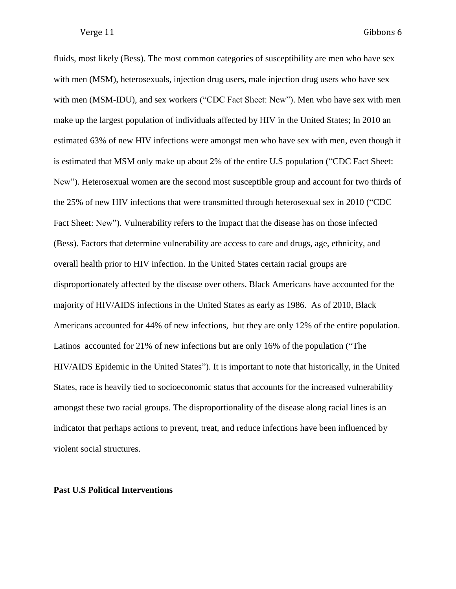fluids, most likely (Bess). The most common categories of susceptibility are men who have sex with men (MSM), heterosexuals, injection drug users, male injection drug users who have sex with men (MSM-IDU), and sex workers ("CDC Fact Sheet: New"). Men who have sex with men make up the largest population of individuals affected by HIV in the United States; In 2010 an estimated 63% of new HIV infections were amongst men who have sex with men, even though it is estimated that MSM only make up about 2% of the entire U.S population ("CDC Fact Sheet: New"). Heterosexual women are the second most susceptible group and account for two thirds of the 25% of new HIV infections that were transmitted through heterosexual sex in 2010 ("CDC Fact Sheet: New"). Vulnerability refers to the impact that the disease has on those infected (Bess). Factors that determine vulnerability are access to care and drugs, age, ethnicity, and overall health prior to HIV infection. In the United States certain racial groups are disproportionately affected by the disease over others. Black Americans have accounted for the majority of HIV/AIDS infections in the United States as early as 1986. As of 2010, Black Americans accounted for 44% of new infections, but they are only 12% of the entire population. Latinos accounted for 21% of new infections but are only 16% of the population ("The HIV/AIDS Epidemic in the United States"). It is important to note that historically, in the United States, race is heavily tied to socioeconomic status that accounts for the increased vulnerability amongst these two racial groups. The disproportionality of the disease along racial lines is an indicator that perhaps actions to prevent, treat, and reduce infections have been influenced by violent social structures.

#### **Past U.S Political Interventions**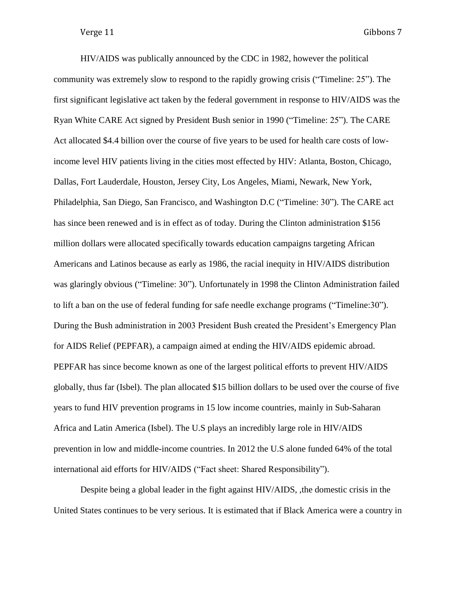HIV/AIDS was publically announced by the CDC in 1982, however the political community was extremely slow to respond to the rapidly growing crisis ("Timeline: 25"). The first significant legislative act taken by the federal government in response to HIV/AIDS was the Ryan White CARE Act signed by President Bush senior in 1990 ("Timeline: 25"). The CARE Act allocated \$4.4 billion over the course of five years to be used for health care costs of lowincome level HIV patients living in the cities most effected by HIV: Atlanta, Boston, Chicago, Dallas, Fort Lauderdale, Houston, Jersey City, Los Angeles, Miami, Newark, New York, Philadelphia, San Diego, San Francisco, and Washington D.C ("Timeline: 30"). The CARE act has since been renewed and is in effect as of today. During the Clinton administration \$156 million dollars were allocated specifically towards education campaigns targeting African Americans and Latinos because as early as 1986, the racial inequity in HIV/AIDS distribution was glaringly obvious ("Timeline: 30"). Unfortunately in 1998 the Clinton Administration failed to lift a ban on the use of federal funding for safe needle exchange programs ("Timeline:30"). During the Bush administration in 2003 President Bush created the President's Emergency Plan for AIDS Relief (PEPFAR), a campaign aimed at ending the HIV/AIDS epidemic abroad. PEPFAR has since become known as one of the largest political efforts to prevent HIV/AIDS globally, thus far (Isbel). The plan allocated \$15 billion dollars to be used over the course of five years to fund HIV prevention programs in 15 low income countries, mainly in Sub-Saharan Africa and Latin America (Isbel). The U.S plays an incredibly large role in HIV/AIDS prevention in low and middle-income countries. In 2012 the U.S alone funded 64% of the total international aid efforts for HIV/AIDS ("Fact sheet: Shared Responsibility").

Despite being a global leader in the fight against HIV/AIDS, ,the domestic crisis in the United States continues to be very serious. It is estimated that if Black America were a country in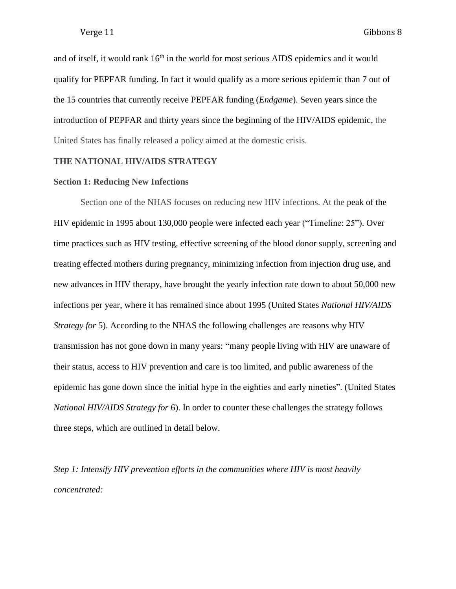and of itself, it would rank  $16<sup>th</sup>$  in the world for most serious AIDS epidemics and it would qualify for PEPFAR funding. In fact it would qualify as a more serious epidemic than 7 out of the 15 countries that currently receive PEPFAR funding (*Endgame*). Seven years since the introduction of PEPFAR and thirty years since the beginning of the HIV/AIDS epidemic, the United States has finally released a policy aimed at the domestic crisis.

### **THE NATIONAL HIV/AIDS STRATEGY**

### **Section 1: Reducing New Infections**

Section one of the NHAS focuses on reducing new HIV infections. At the peak of the HIV epidemic in 1995 about 130,000 people were infected each year ("Timeline: 25"). Over time practices such as HIV testing, effective screening of the blood donor supply, screening and treating effected mothers during pregnancy, minimizing infection from injection drug use, and new advances in HIV therapy, have brought the yearly infection rate down to about 50,000 new infections per year, where it has remained since about 1995 (United States *National HIV/AIDS Strategy for* 5). According to the NHAS the following challenges are reasons why HIV transmission has not gone down in many years: "many people living with HIV are unaware of their status, access to HIV prevention and care is too limited, and public awareness of the epidemic has gone down since the initial hype in the eighties and early nineties". (United States *National HIV/AIDS Strategy for* 6). In order to counter these challenges the strategy follows three steps, which are outlined in detail below.

*Step 1: Intensify HIV prevention efforts in the communities where HIV is most heavily concentrated:*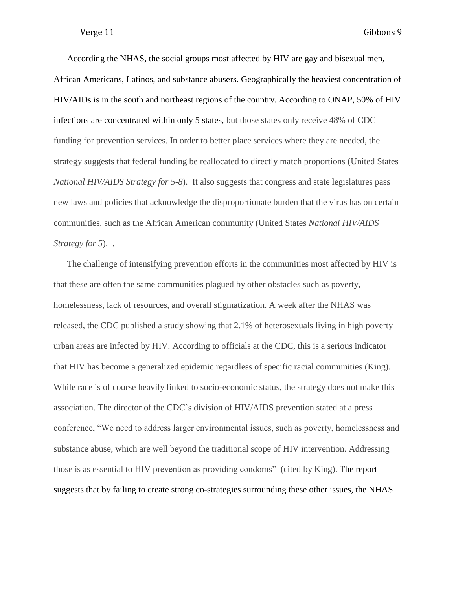According the NHAS, the social groups most affected by HIV are gay and bisexual men, African Americans, Latinos, and substance abusers. Geographically the heaviest concentration of HIV/AIDs is in the south and northeast regions of the country. According to ONAP, 50% of HIV infections are concentrated within only 5 states, but those states only receive 48% of CDC funding for prevention services. In order to better place services where they are needed, the strategy suggests that federal funding be reallocated to directly match proportions (United States *National HIV/AIDS Strategy for 5-8*). It also suggests that congress and state legislatures pass new laws and policies that acknowledge the disproportionate burden that the virus has on certain communities, such as the African American community (United States *National HIV/AIDS Strategy for 5*). .

The challenge of intensifying prevention efforts in the communities most affected by HIV is that these are often the same communities plagued by other obstacles such as poverty, homelessness, lack of resources, and overall stigmatization. A week after the NHAS was released, the CDC published a study showing that 2.1% of heterosexuals living in high poverty urban areas are infected by HIV. According to officials at the CDC, this is a serious indicator that HIV has become a generalized epidemic regardless of specific racial communities (King). While race is of course heavily linked to socio-economic status, the strategy does not make this association. The director of the CDC's division of HIV/AIDS prevention stated at a press conference, "We need to address larger environmental issues, such as poverty, homelessness and substance abuse, which are well beyond the traditional scope of HIV intervention. Addressing those is as essential to HIV prevention as providing condoms" (cited by King). The report suggests that by failing to create strong co-strategies surrounding these other issues, the NHAS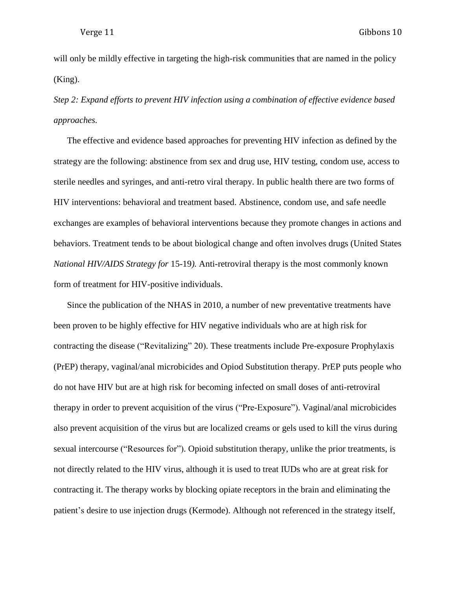will only be mildly effective in targeting the high-risk communities that are named in the policy (King).

*Step 2: Expand efforts to prevent HIV infection using a combination of effective evidence based approaches.*

The effective and evidence based approaches for preventing HIV infection as defined by the strategy are the following: abstinence from sex and drug use, HIV testing, condom use, access to sterile needles and syringes, and anti-retro viral therapy. In public health there are two forms of HIV interventions: behavioral and treatment based. Abstinence, condom use, and safe needle exchanges are examples of behavioral interventions because they promote changes in actions and behaviors. Treatment tends to be about biological change and often involves drugs (United States *National HIV/AIDS Strategy for* 15-19*).* Anti-retroviral therapy is the most commonly known form of treatment for HIV-positive individuals.

Since the publication of the NHAS in 2010, a number of new preventative treatments have been proven to be highly effective for HIV negative individuals who are at high risk for contracting the disease ("Revitalizing" 20). These treatments include Pre-exposure Prophylaxis (PrEP) therapy, vaginal/anal microbicides and Opiod Substitution therapy. PrEP puts people who do not have HIV but are at high risk for becoming infected on small doses of anti-retroviral therapy in order to prevent acquisition of the virus ("Pre-Exposure"). Vaginal/anal microbicides also prevent acquisition of the virus but are localized creams or gels used to kill the virus during sexual intercourse ("Resources for"). Opioid substitution therapy, unlike the prior treatments, is not directly related to the HIV virus, although it is used to treat IUDs who are at great risk for contracting it. The therapy works by blocking opiate receptors in the brain and eliminating the patient's desire to use injection drugs (Kermode). Although not referenced in the strategy itself,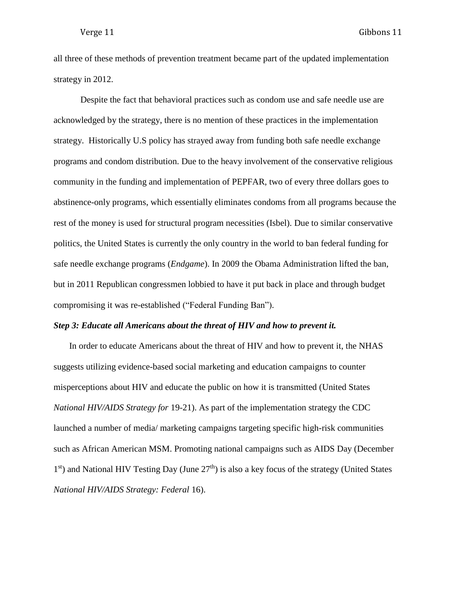all three of these methods of prevention treatment became part of the updated implementation strategy in 2012.

Despite the fact that behavioral practices such as condom use and safe needle use are acknowledged by the strategy, there is no mention of these practices in the implementation strategy. Historically U.S policy has strayed away from funding both safe needle exchange programs and condom distribution. Due to the heavy involvement of the conservative religious community in the funding and implementation of PEPFAR, two of every three dollars goes to abstinence-only programs, which essentially eliminates condoms from all programs because the rest of the money is used for structural program necessities (Isbel). Due to similar conservative politics, the United States is currently the only country in the world to ban federal funding for safe needle exchange programs (*Endgame*). In 2009 the Obama Administration lifted the ban, but in 2011 Republican congressmen lobbied to have it put back in place and through budget compromising it was re-established ("Federal Funding Ban").

#### *Step 3: Educate all Americans about the threat of HIV and how to prevent it.*

In order to educate Americans about the threat of HIV and how to prevent it, the NHAS suggests utilizing evidence-based social marketing and education campaigns to counter misperceptions about HIV and educate the public on how it is transmitted (United States *National HIV/AIDS Strategy for* 19-21). As part of the implementation strategy the CDC launched a number of media/ marketing campaigns targeting specific high-risk communities such as African American MSM. Promoting national campaigns such as AIDS Day (December 1<sup>st</sup>) and National HIV Testing Day (June 27<sup>th</sup>) is also a key focus of the strategy (United States *National HIV/AIDS Strategy: Federal* 16).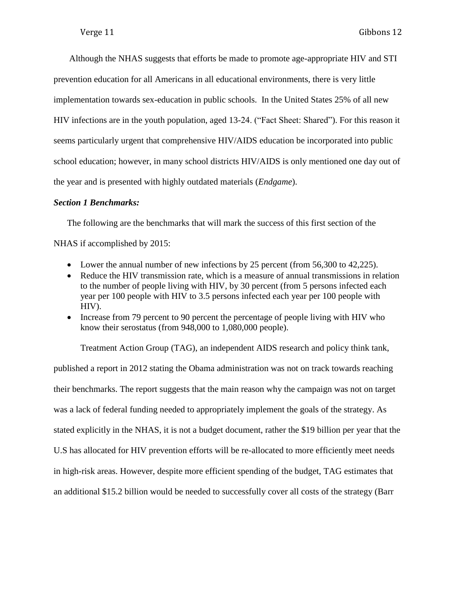Although the NHAS suggests that efforts be made to promote age-appropriate HIV and STI prevention education for all Americans in all educational environments, there is very little implementation towards sex-education in public schools. In the United States 25% of all new HIV infections are in the youth population, aged 13-24. ("Fact Sheet: Shared"). For this reason it seems particularly urgent that comprehensive HIV/AIDS education be incorporated into public school education; however, in many school districts HIV/AIDS is only mentioned one day out of the year and is presented with highly outdated materials (*Endgame*).

### *Section 1 Benchmarks:*

The following are the benchmarks that will mark the success of this first section of the NHAS if accomplished by 2015:

- Lower the annual number of new infections by 25 percent (from 56,300 to 42,225).
- Reduce the HIV transmission rate, which is a measure of annual transmissions in relation to the number of people living with HIV, by 30 percent (from 5 persons infected each year per 100 people with HIV to 3.5 persons infected each year per 100 people with HIV).
- Increase from 79 percent to 90 percent the percentage of people living with HIV who know their serostatus (from 948,000 to 1,080,000 people).

Treatment Action Group (TAG), an independent AIDS research and policy think tank, published a report in 2012 stating the Obama administration was not on track towards reaching their benchmarks. The report suggests that the main reason why the campaign was not on target was a lack of federal funding needed to appropriately implement the goals of the strategy. As stated explicitly in the NHAS, it is not a budget document, rather the \$19 billion per year that the U.S has allocated for HIV prevention efforts will be re-allocated to more efficiently meet needs in high-risk areas. However, despite more efficient spending of the budget, TAG estimates that an additional \$15.2 billion would be needed to successfully cover all costs of the strategy (Barr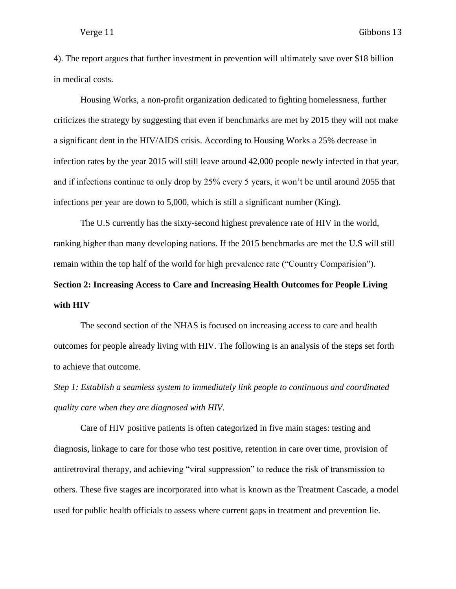4). The report argues that further investment in prevention will ultimately save over \$18 billion in medical costs.

Housing Works, a non-profit organization dedicated to fighting homelessness, further criticizes the strategy by suggesting that even if benchmarks are met by 2015 they will not make a significant dent in the HIV/AIDS crisis. According to Housing Works a 25% decrease in infection rates by the year 2015 will still leave around 42,000 people newly infected in that year, and if infections continue to only drop by 25% every 5 years, it won't be until around 2055 that infections per year are down to 5,000, which is still a significant number (King).

The U.S currently has the sixty-second highest prevalence rate of HIV in the world, ranking higher than many developing nations. If the 2015 benchmarks are met the U.S will still remain within the top half of the world for high prevalence rate ("Country Comparision").

# **Section 2: Increasing Access to Care and Increasing Health Outcomes for People Living with HIV**

The second section of the NHAS is focused on increasing access to care and health outcomes for people already living with HIV. The following is an analysis of the steps set forth to achieve that outcome.

*Step 1: Establish a seamless system to immediately link people to continuous and coordinated quality care when they are diagnosed with HIV.*

Care of HIV positive patients is often categorized in five main stages: testing and diagnosis, linkage to care for those who test positive, retention in care over time, provision of antiretroviral therapy, and achieving "viral suppression" to reduce the risk of transmission to others. These five stages are incorporated into what is known as the Treatment Cascade, a model used for public health officials to assess where current gaps in treatment and prevention lie.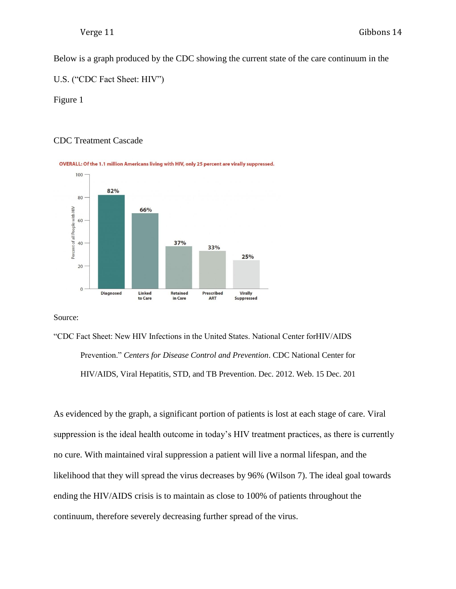Below is a graph produced by the CDC showing the current state of the care continuum in the

U.S. ("CDC Fact Sheet: HIV")

Figure 1

### CDC Treatment Cascade



Source:

"CDC Fact Sheet: New HIV Infections in the United States. National Center forHIV/AIDS Prevention." *Centers for Disease Control and Prevention*. CDC National Center for HIV/AIDS, Viral Hepatitis, STD, and TB Prevention. Dec. 2012. Web. 15 Dec. 201

As evidenced by the graph, a significant portion of patients is lost at each stage of care. Viral suppression is the ideal health outcome in today's HIV treatment practices, as there is currently no cure. With maintained viral suppression a patient will live a normal lifespan, and the likelihood that they will spread the virus decreases by 96% (Wilson 7). The ideal goal towards ending the HIV/AIDS crisis is to maintain as close to 100% of patients throughout the continuum, therefore severely decreasing further spread of the virus.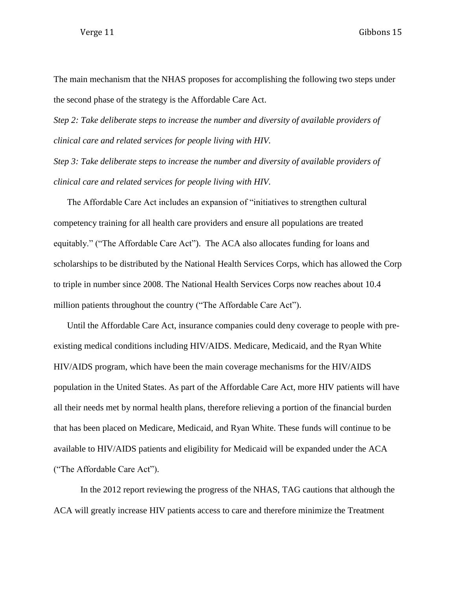The main mechanism that the NHAS proposes for accomplishing the following two steps under the second phase of the strategy is the Affordable Care Act.

*Step 2: Take deliberate steps to increase the number and diversity of available providers of clinical care and related services for people living with HIV.*

*Step 3: Take deliberate steps to increase the number and diversity of available providers of clinical care and related services for people living with HIV.*

The Affordable Care Act includes an expansion of "initiatives to strengthen cultural competency training for all health care providers and ensure all populations are treated equitably." ("The Affordable Care Act"). The ACA also allocates funding for loans and scholarships to be distributed by the National Health Services Corps, which has allowed the Corp to triple in number since 2008. The National Health Services Corps now reaches about 10.4 million patients throughout the country ("The Affordable Care Act").

Until the Affordable Care Act, insurance companies could deny coverage to people with preexisting medical conditions including HIV/AIDS. Medicare, Medicaid, and the Ryan White HIV/AIDS program, which have been the main coverage mechanisms for the HIV/AIDS population in the United States. As part of the Affordable Care Act, more HIV patients will have all their needs met by normal health plans, therefore relieving a portion of the financial burden that has been placed on Medicare, Medicaid, and Ryan White. These funds will continue to be available to HIV/AIDS patients and eligibility for Medicaid will be expanded under the ACA ("The Affordable Care Act").

In the 2012 report reviewing the progress of the NHAS, TAG cautions that although the ACA will greatly increase HIV patients access to care and therefore minimize the Treatment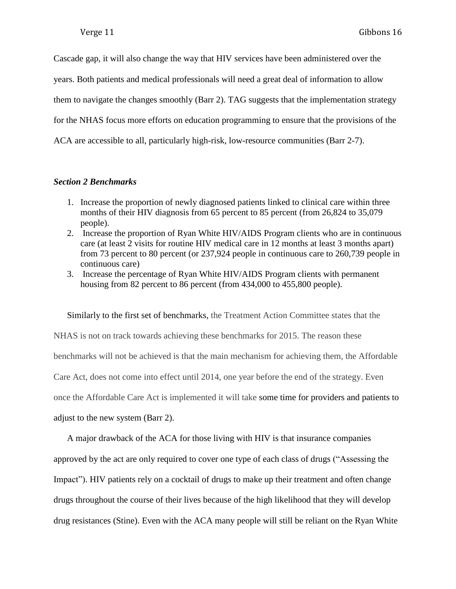Cascade gap, it will also change the way that HIV services have been administered over the years. Both patients and medical professionals will need a great deal of information to allow them to navigate the changes smoothly (Barr 2). TAG suggests that the implementation strategy for the NHAS focus more efforts on education programming to ensure that the provisions of the ACA are accessible to all, particularly high-risk, low-resource communities (Barr 2-7).

### *Section 2 Benchmarks*

- 1. Increase the proportion of newly diagnosed patients linked to clinical care within three months of their HIV diagnosis from 65 percent to 85 percent (from 26,824 to 35,079 people).
- 2. Increase the proportion of Ryan White HIV/AIDS Program clients who are in continuous care (at least 2 visits for routine HIV medical care in 12 months at least 3 months apart) from 73 percent to 80 percent (or 237,924 people in continuous care to 260,739 people in continuous care)
- 3. Increase the percentage of Ryan White HIV/AIDS Program clients with permanent housing from 82 percent to 86 percent (from 434,000 to 455,800 people).

Similarly to the first set of benchmarks, the Treatment Action Committee states that the NHAS is not on track towards achieving these benchmarks for 2015. The reason these benchmarks will not be achieved is that the main mechanism for achieving them, the Affordable Care Act, does not come into effect until 2014, one year before the end of the strategy. Even once the Affordable Care Act is implemented it will take some time for providers and patients to adjust to the new system (Barr 2).

A major drawback of the ACA for those living with HIV is that insurance companies approved by the act are only required to cover one type of each class of drugs ("Assessing the Impact"). HIV patients rely on a cocktail of drugs to make up their treatment and often change drugs throughout the course of their lives because of the high likelihood that they will develop drug resistances (Stine). Even with the ACA many people will still be reliant on the Ryan White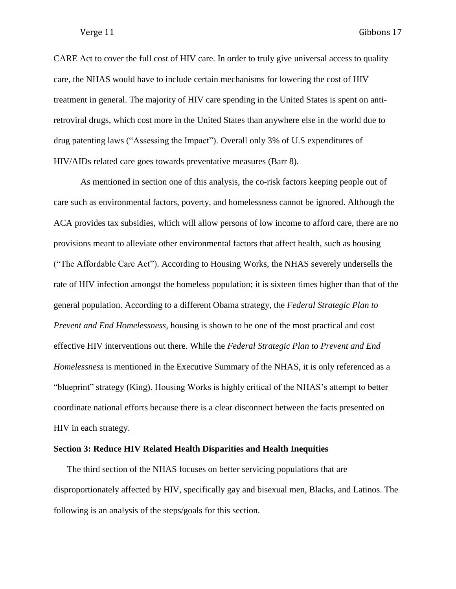CARE Act to cover the full cost of HIV care. In order to truly give universal access to quality care, the NHAS would have to include certain mechanisms for lowering the cost of HIV treatment in general. The majority of HIV care spending in the United States is spent on antiretroviral drugs, which cost more in the United States than anywhere else in the world due to drug patenting laws ("Assessing the Impact"). Overall only 3% of U.S expenditures of HIV/AIDs related care goes towards preventative measures (Barr 8).

As mentioned in section one of this analysis, the co-risk factors keeping people out of care such as environmental factors, poverty, and homelessness cannot be ignored. Although the ACA provides tax subsidies, which will allow persons of low income to afford care, there are no provisions meant to alleviate other environmental factors that affect health, such as housing ("The Affordable Care Act"). According to Housing Works, the NHAS severely undersells the rate of HIV infection amongst the homeless population; it is sixteen times higher than that of the general population. According to a different Obama strategy, the *Federal Strategic Plan to Prevent and End Homelessness,* housing is shown to be one of the most practical and cost effective HIV interventions out there. While the *Federal Strategic Plan to Prevent and End Homelessness* is mentioned in the Executive Summary of the NHAS, it is only referenced as a "blueprint" strategy (King). Housing Works is highly critical of the NHAS's attempt to better coordinate national efforts because there is a clear disconnect between the facts presented on HIV in each strategy.

### **Section 3: Reduce HIV Related Health Disparities and Health Inequities**

The third section of the NHAS focuses on better servicing populations that are disproportionately affected by HIV, specifically gay and bisexual men, Blacks, and Latinos. The following is an analysis of the steps/goals for this section.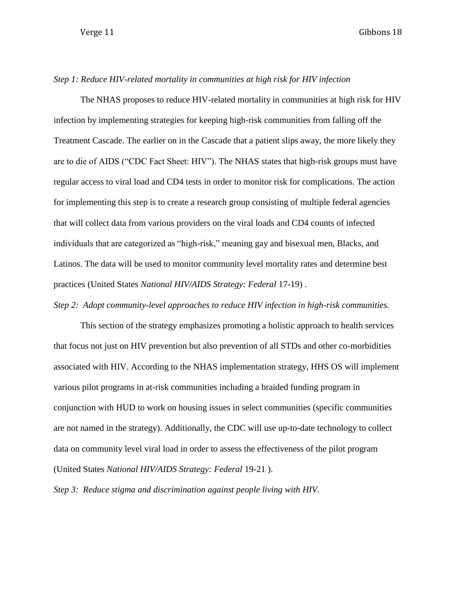### *Step 1: Reduce HIV-related mortality in communities at high risk for HIV infection*

The NHAS proposes to reduce HIV-related mortality in communities at high risk for HIV infection by implementing strategies for keeping high-risk communities from falling off the Treatment Cascade. The earlier on in the Cascade that a patient slips away, the more likely they are to die of AIDS ("CDC Fact Sheet: HIV"). The NHAS states that high-risk groups must have regular access to viral load and CD4 tests in order to monitor risk for complications. The action for implementing this step is to create a research group consisting of multiple federal agencies that will collect data from various providers on the viral loads and CD4 counts of infected individuals that are categorized as "high-risk," meaning gay and bisexual men, Blacks, and Latinos. The data will be used to monitor community level mortality rates and determine best practices (United States *National HIV/AIDS Strategy: Federal* 17-19) .

*Step 2: Adopt community-level approaches to reduce HIV infection in high-risk communities.*

This section of the strategy emphasizes promoting a holistic approach to health services that focus not just on HIV prevention but also prevention of all STDs and other co-morbidities associated with HIV. According to the NHAS implementation strategy, HHS OS will implement various pilot programs in at-risk communities including a braided funding program in conjunction with HUD to work on housing issues in select communities (specific communities are not named in the strategy). Additionally, the CDC will use up-to-date technology to collect data on community level viral load in order to assess the effectiveness of the pilot program (United States *National HIV/AIDS Strategy: Federal* 19-21 ).

*Step 3: Reduce stigma and discrimination against people living with HIV.*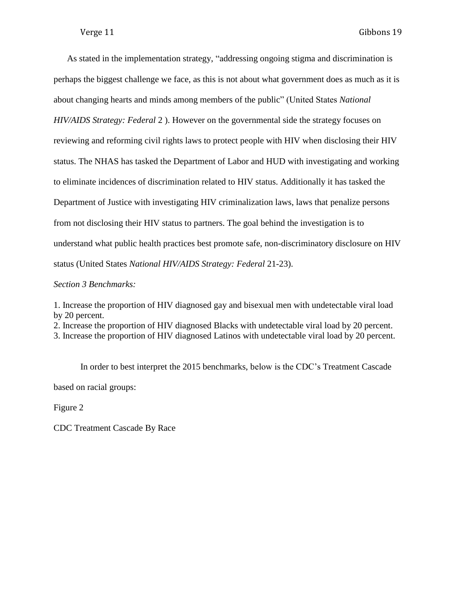As stated in the implementation strategy, "addressing ongoing stigma and discrimination is perhaps the biggest challenge we face, as this is not about what government does as much as it is about changing hearts and minds among members of the public" (United States *National HIV/AIDS Strategy: Federal* 2 ). However on the governmental side the strategy focuses on reviewing and reforming civil rights laws to protect people with HIV when disclosing their HIV status. The NHAS has tasked the Department of Labor and HUD with investigating and working to eliminate incidences of discrimination related to HIV status. Additionally it has tasked the Department of Justice with investigating HIV criminalization laws, laws that penalize persons from not disclosing their HIV status to partners. The goal behind the investigation is to understand what public health practices best promote safe, non-discriminatory disclosure on HIV status (United States *National HIV/AIDS Strategy: Federal* 21-23).

*Section 3 Benchmarks:*

1. Increase the proportion of HIV diagnosed gay and bisexual men with undetectable viral load by 20 percent.

2. Increase the proportion of HIV diagnosed Blacks with undetectable viral load by 20 percent.

3. Increase the proportion of HIV diagnosed Latinos with undetectable viral load by 20 percent.

In order to best interpret the 2015 benchmarks, below is the CDC's Treatment Cascade based on racial groups:

Figure 2

CDC Treatment Cascade By Race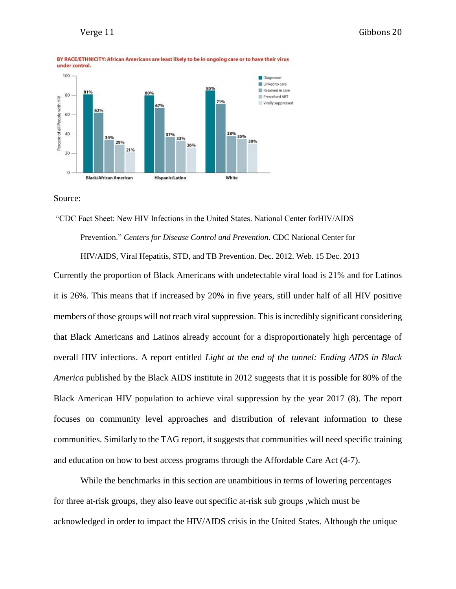

Source:

"CDC Fact Sheet: New HIV Infections in the United States. National Center forHIV/AIDS Prevention." *Centers for Disease Control and Prevention*. CDC National Center for

HIV/AIDS, Viral Hepatitis, STD, and TB Prevention. Dec. 2012. Web. 15 Dec. 2013

Currently the proportion of Black Americans with undetectable viral load is 21% and for Latinos it is 26%. This means that if increased by 20% in five years, still under half of all HIV positive members of those groups will not reach viral suppression. This is incredibly significant considering that Black Americans and Latinos already account for a disproportionately high percentage of overall HIV infections. A report entitled *Light at the end of the tunnel: Ending AIDS in Black America* published by the Black AIDS institute in 2012 suggests that it is possible for 80% of the Black American HIV population to achieve viral suppression by the year 2017 (8). The report focuses on community level approaches and distribution of relevant information to these communities. Similarly to the TAG report, it suggests that communities will need specific training and education on how to best access programs through the Affordable Care Act (4-7).

While the benchmarks in this section are unambitious in terms of lowering percentages for three at-risk groups, they also leave out specific at-risk sub groups ,which must be acknowledged in order to impact the HIV/AIDS crisis in the United States. Although the unique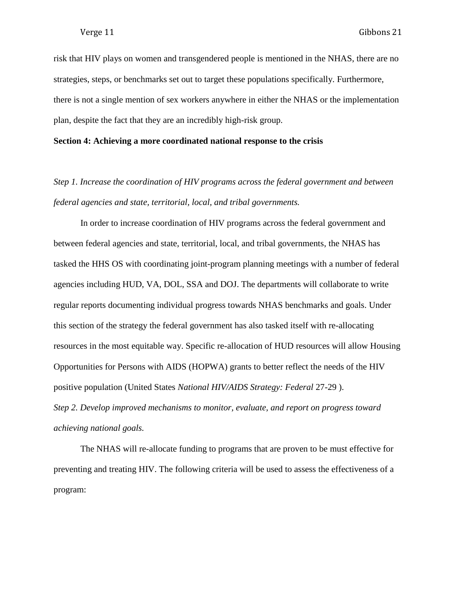risk that HIV plays on women and transgendered people is mentioned in the NHAS, there are no strategies, steps, or benchmarks set out to target these populations specifically. Furthermore, there is not a single mention of sex workers anywhere in either the NHAS or the implementation plan, despite the fact that they are an incredibly high-risk group.

#### **Section 4: Achieving a more coordinated national response to the crisis**

*Step 1. Increase the coordination of HIV programs across the federal government and between federal agencies and state, territorial, local, and tribal governments.*

In order to increase coordination of HIV programs across the federal government and between federal agencies and state, territorial, local, and tribal governments, the NHAS has tasked the HHS OS with coordinating joint-program planning meetings with a number of federal agencies including HUD, VA, DOL, SSA and DOJ. The departments will collaborate to write regular reports documenting individual progress towards NHAS benchmarks and goals. Under this section of the strategy the federal government has also tasked itself with re-allocating resources in the most equitable way. Specific re-allocation of HUD resources will allow Housing Opportunities for Persons with AIDS (HOPWA) grants to better reflect the needs of the HIV positive population (United States *National HIV/AIDS Strategy: Federal* 27-29 ). *Step 2. Develop improved mechanisms to monitor, evaluate, and report on progress toward achieving national goals.*

The NHAS will re-allocate funding to programs that are proven to be must effective for preventing and treating HIV. The following criteria will be used to assess the effectiveness of a program: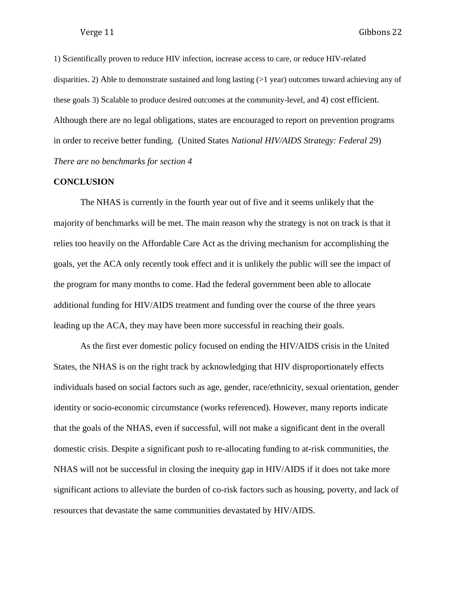1) Scientifically proven to reduce HIV infection, increase access to care, or reduce HIV-related disparities. 2) Able to demonstrate sustained and long lasting (>1 year) outcomes toward achieving any of these goals 3) Scalable to produce desired outcomes at the community-level, and 4) cost efficient. Although there are no legal obligations, states are encouraged to report on prevention programs in order to receive better funding. (United States *National HIV/AIDS Strategy: Federal* 29) *There are no benchmarks for section 4*

#### **CONCLUSION**

The NHAS is currently in the fourth year out of five and it seems unlikely that the majority of benchmarks will be met. The main reason why the strategy is not on track is that it relies too heavily on the Affordable Care Act as the driving mechanism for accomplishing the goals, yet the ACA only recently took effect and it is unlikely the public will see the impact of the program for many months to come. Had the federal government been able to allocate additional funding for HIV/AIDS treatment and funding over the course of the three years leading up the ACA, they may have been more successful in reaching their goals.

As the first ever domestic policy focused on ending the HIV/AIDS crisis in the United States, the NHAS is on the right track by acknowledging that HIV disproportionately effects individuals based on social factors such as age, gender, race/ethnicity, sexual orientation, gender identity or socio-economic circumstance (works referenced)*.* However, many reports indicate that the goals of the NHAS, even if successful, will not make a significant dent in the overall domestic crisis. Despite a significant push to re-allocating funding to at-risk communities, the NHAS will not be successful in closing the inequity gap in HIV/AIDS if it does not take more significant actions to alleviate the burden of co-risk factors such as housing, poverty, and lack of resources that devastate the same communities devastated by HIV/AIDS.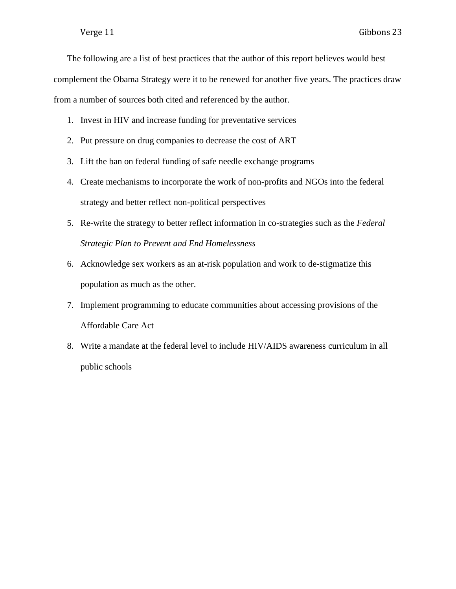The following are a list of best practices that the author of this report believes would best complement the Obama Strategy were it to be renewed for another five years. The practices draw from a number of sources both cited and referenced by the author.

- 1. Invest in HIV and increase funding for preventative services
- 2. Put pressure on drug companies to decrease the cost of ART
- 3. Lift the ban on federal funding of safe needle exchange programs
- 4. Create mechanisms to incorporate the work of non-profits and NGOs into the federal strategy and better reflect non-political perspectives
- 5. Re-write the strategy to better reflect information in co-strategies such as the *Federal Strategic Plan to Prevent and End Homelessness*
- 6. Acknowledge sex workers as an at-risk population and work to de-stigmatize this population as much as the other.
- 7. Implement programming to educate communities about accessing provisions of the Affordable Care Act
- 8. Write a mandate at the federal level to include HIV/AIDS awareness curriculum in all public schools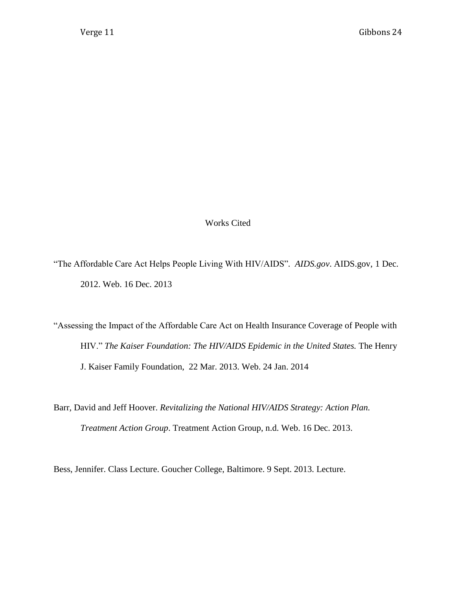Works Cited

"The Affordable Care Act Helps People Living With HIV/AIDS"*. AIDS.gov*. AIDS.gov, 1 Dec. 2012. Web. 16 Dec. 2013

"Assessing the Impact of the Affordable Care Act on Health Insurance Coverage of People with HIV." The Kaiser Foundation: The HIV/AIDS Epidemic in the United States. The Henry J. Kaiser Family Foundation, 22 Mar. 2013. Web. 24 Jan. 2014

Barr, David and Jeff Hoover. *Revitalizing the National HIV/AIDS Strategy: Action Plan. Treatment Action Group*. Treatment Action Group, n.d. Web. 16 Dec. 2013.

Bess, Jennifer. Class Lecture. Goucher College, Baltimore. 9 Sept. 2013. Lecture.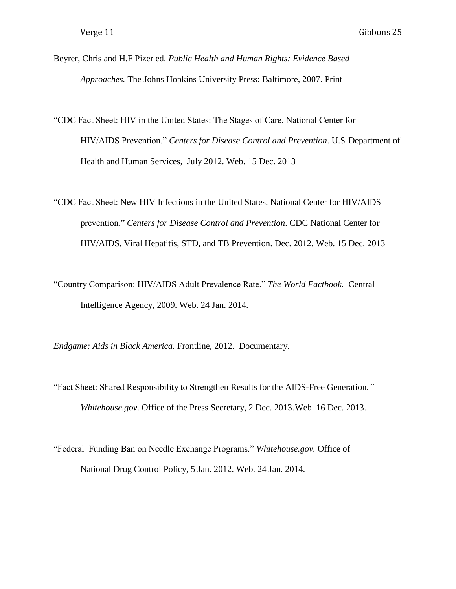- Beyrer, Chris and H.F Pizer ed. *Public Health and Human Rights: Evidence Based Approaches.* The Johns Hopkins University Press: Baltimore, 2007. Print
- "CDC Fact Sheet: HIV in the United States: The Stages of Care. National Center for HIV/AIDS Prevention." *Centers for Disease Control and Prevention*. U.S Department of Health and Human Services, July 2012. Web. 15 Dec. 2013
- "CDC Fact Sheet: New HIV Infections in the United States. National Center for HIV/AIDS prevention." *Centers for Disease Control and Prevention*. CDC National Center for HIV/AIDS, Viral Hepatitis, STD, and TB Prevention. Dec. 2012. Web. 15 Dec. 2013
- "Country Comparison: HIV/AIDS Adult Prevalence Rate." *The World Factbook.* Central Intelligence Agency, 2009. Web. 24 Jan. 2014.

*Endgame: Aids in Black America.* Frontline, 2012. Documentary.

- "Fact Sheet: Shared Responsibility to Strengthen Results for the AIDS-Free Generation*." Whitehouse.gov*. Office of the Press Secretary, 2 Dec. 2013.Web. 16 Dec. 2013.
- "Federal Funding Ban on Needle Exchange Programs." *Whitehouse.gov.* Office of National Drug Control Policy, 5 Jan. 2012. Web. 24 Jan. 2014.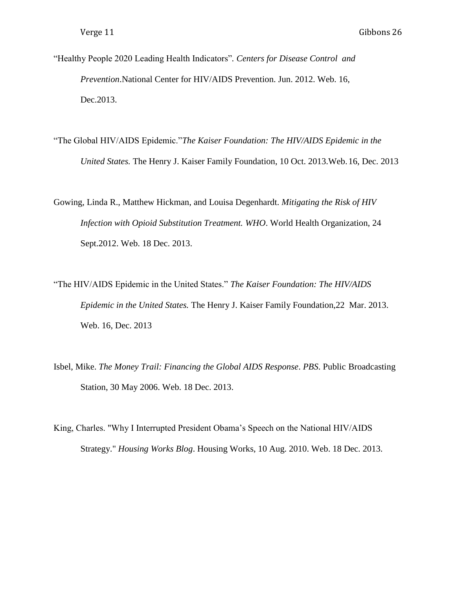- "Healthy People 2020 Leading Health Indicators"*. Centers for Disease Control and Prevention*.National Center for HIV/AIDS Prevention. Jun. 2012. Web. 16, Dec.2013.
- "The Global HIV/AIDS Epidemic."*The Kaiser Foundation: The HIV/AIDS Epidemic in the United States.* The Henry J. Kaiser Family Foundation, 10 Oct. 2013.Web.16, Dec. 2013

Gowing, Linda R., Matthew Hickman, and Louisa Degenhardt. *Mitigating the Risk of HIV Infection with Opioid Substitution Treatment. WHO*. World Health Organization, 24 Sept.2012. Web. 18 Dec. 2013.

- "The HIV/AIDS Epidemic in the United States." *The Kaiser Foundation: The HIV/AIDS Epidemic in the United States.* The Henry J. Kaiser Family Foundation,22 Mar. 2013. Web. 16, Dec. 2013
- Isbel, Mike. *The Money Trail: Financing the Global AIDS Response*. *PBS*. Public Broadcasting Station, 30 May 2006. Web. 18 Dec. 2013.
- King, Charles. "Why I Interrupted President Obama's Speech on the National HIV/AIDS Strategy." *Housing Works Blog*. Housing Works, 10 Aug. 2010. Web. 18 Dec. 2013.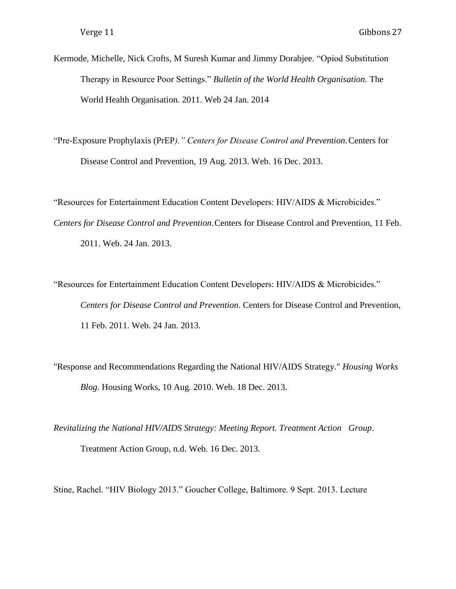Kermode, Michelle, Nick Crofts, M Suresh Kumar and Jimmy Dorabjee. "Opiod Substitution Therapy in Resource Poor Settings." *Bulletin of the World Health Organisation.* The World Health Organisation. 2011. Web 24 Jan. 2014

"Pre-Exposure Prophylaxis (PrEP*)." Centers for Disease Control and Prevention*.Centers for Disease Control and Prevention, 19 Aug. 2013. Web. 16 Dec. 2013.

"Resources for Entertainment Education Content Developers: HIV/AIDS & Microbicides." *Centers for Disease Control and Prevention*.Centers for Disease Control and Prevention, 11 Feb. 2011. Web. 24 Jan. 2013.

"Resources for Entertainment Education Content Developers: HIV/AIDS & Microbicides." *Centers for Disease Control and Prevention*. Centers for Disease Control and Prevention, 11 Feb. 2011. Web. 24 Jan. 2013.

"Response and Recommendations Regarding the National HIV/AIDS Strategy." *Housing Works Blog*. Housing Works, 10 Aug. 2010. Web. 18 Dec. 2013.

*Revitalizing the National HIV/AIDS Strategy: Meeting Report. Treatment Action Group*. Treatment Action Group, n.d. Web. 16 Dec. 2013.

Stine, Rachel. "HIV Biology 2013." Goucher College, Baltimore. 9 Sept. 2013. Lecture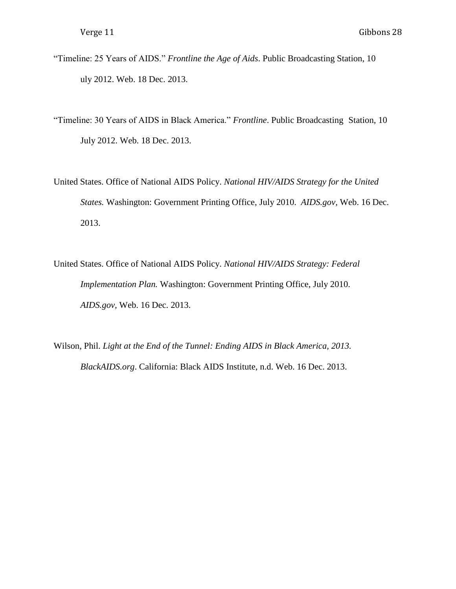- "Timeline: 25 Years of AIDS." *Frontline the Age of Aids*. Public Broadcasting Station, 10 uly 2012. Web. 18 Dec. 2013.
- "Timeline: 30 Years of AIDS in Black America." *Frontline*. Public Broadcasting Station, 10 July 2012. Web. 18 Dec. 2013.
- United States. Office of National AIDS Policy. *National HIV/AIDS Strategy for the United States.* Washington: Government Printing Office, July 2010. *AIDS.gov,* Web. 16 Dec. 2013.
- United States. Office of National AIDS Policy. *National HIV/AIDS Strategy: Federal Implementation Plan.* Washington: Government Printing Office, July 2010. *AIDS.gov,* Web. 16 Dec. 2013.
- Wilson, Phil. *Light at the End of the Tunnel: Ending AIDS in Black America, 2013. BlackAIDS.org*. California: Black AIDS Institute, n.d. Web. 16 Dec. 2013.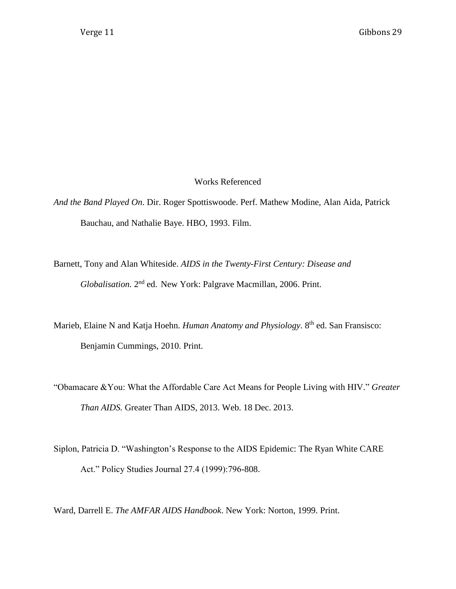### Works Referenced

- *And the Band Played On*. Dir. Roger Spottiswoode. Perf. Mathew Modine, Alan Aida, Patrick Bauchau, and Nathalie Baye. HBO, 1993. Film.
- Barnett, Tony and Alan Whiteside. *AIDS in the Twenty-First Century: Disease and* Globalisation. 2<sup>nd</sup> ed. New York: Palgrave Macmillan, 2006. Print.
- Marieb, Elaine N and Katja Hoehn. *Human Anatomy and Physiology*. 8<sup>th</sup> ed. San Fransisco: Benjamin Cummings, 2010. Print.
- "Obamacare &You: What the Affordable Care Act Means for People Living with HIV." *Greater Than AIDS.* Greater Than AIDS, 2013. Web. 18 Dec. 2013.
- Siplon, Patricia D. "Washington's Response to the AIDS Epidemic: The Ryan White CARE Act." Policy Studies Journal 27.4 (1999):796-808.

Ward, Darrell E. *The AMFAR AIDS Handbook*. New York: Norton, 1999. Print.